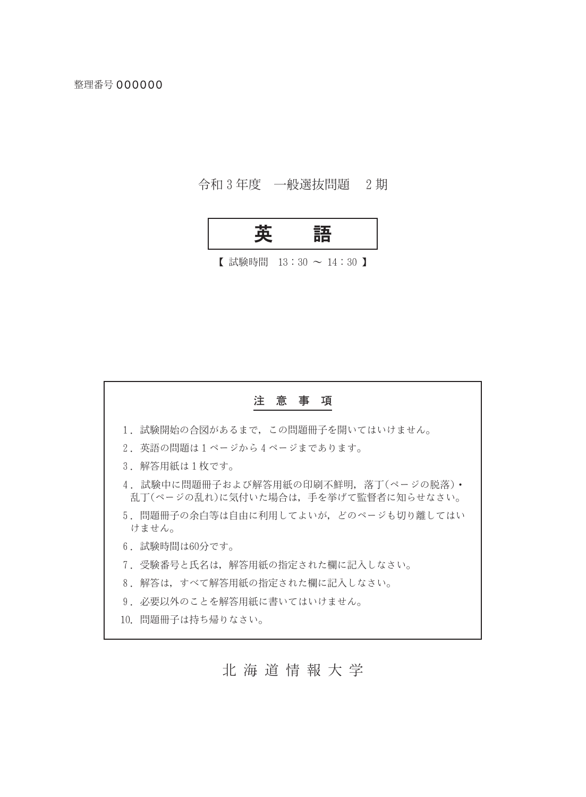## 令和3年度 一般選抜問題 2期



【試験時間  $13:30 \sim 14:30$  】

# 注意事項 1. 試験開始の合図があるまで、この問題冊子を開いてはいけません。 2. 英語の問題は1ページから4ページまであります。 3. 解答用紙は1枚です。 4. 試験中に問題冊子および解答用紙の印刷不鮮明, 落丁(ページの脱落)· 乱丁(ページの乱れ)に気付いた場合は、手を挙げて監督者に知らせなさい。 5. 問題冊子の余白等は自由に利用してよいが、どのページも切り離してはい けません。 6. 試験時間は60分です。 7. 受験番号と氏名は、解答用紙の指定された欄に記入しなさい。 8. 解答は、すべて解答用紙の指定された欄に記入しなさい。 9. 必要以外のことを解答用紙に書いてはいけません。 10. 問題冊子は持ち帰りなさい。

北海道情報大学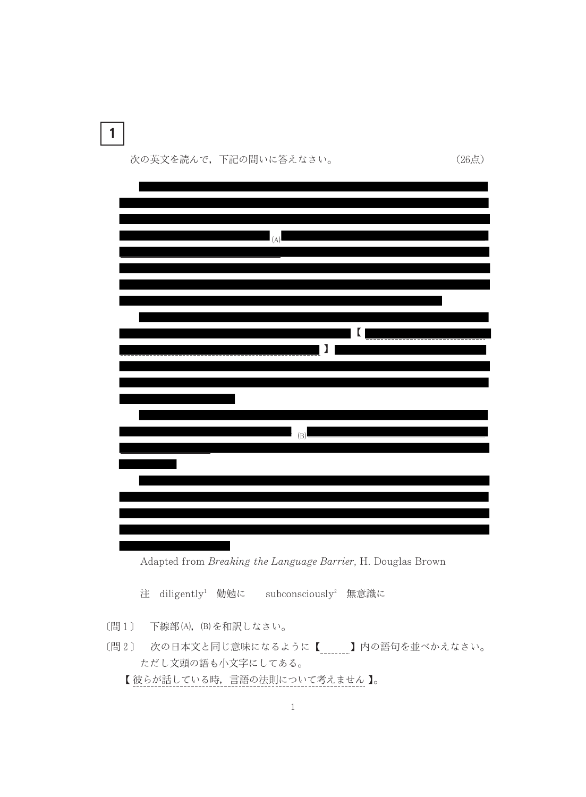$\mathbf{1}$ 

次の英文を読んで、下記の問いに答えなさい。

 $(A)$  $\blacksquare$  $\blacksquare$  $(B)$ 

(26点)

Adapted from Breaking the Language Barrier, H. Douglas Brown

注 diligently<sup>1</sup> 勤勉に subconsciously<sup>2</sup> 無意識に

[問1] 下線部(A), (B)を和訳しなさい。

〔問2〕 次の日本文と同じ意味になるように【 \_\_\_\_\_\_\_】内の語句を並べかえなさい。 ただし文頭の語も小文字にしてある。

【彼らが話している時、言語の法則について考えません】。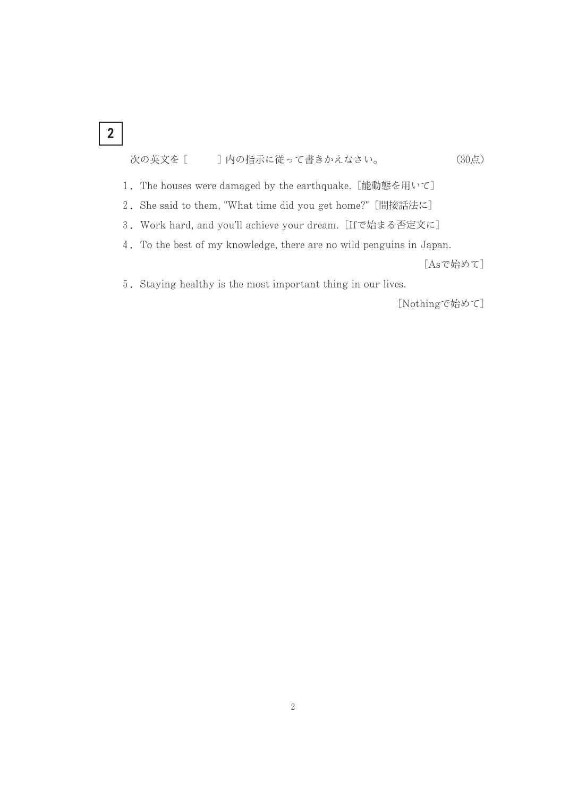## $\overline{\mathbf{2}}$

#### ] 内の指示に従って書きかえなさい。 次の英文を [ (30点)

- 1. The houses were damaged by the earthquake. [能動態を用いて]
- 2. She said to them, "What time did you get home?" [間接話法に]
- 3. Work hard, and you'll achieve your dream. [Ifで始まる否定文に]
- 4. To the best of my knowledge, there are no wild penguins in Japan.

[Asで始めて]

5. Staying healthy is the most important thing in our lives.

[Nothingで始めて]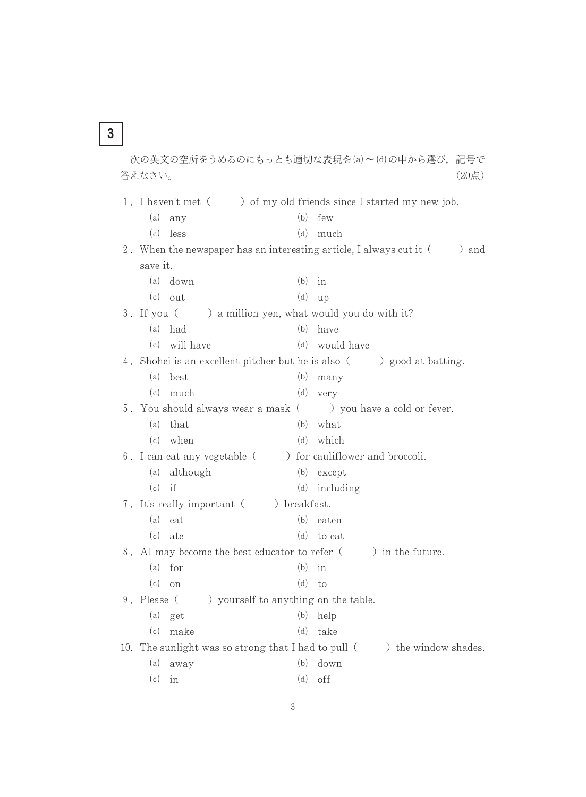次の英文の空所をうめるのにもっとも適切な表現を(a)~(d)の中から選び、記号で 答えなさい。 (20点) ) of my old friends since I started my new job. 1. I haven't met (  $(b)$  few  $(a)$  any  $(d)$  much  $(c)$  less 2. When the newspaper has an interesting article, I always cut it (  $\alpha$  and save it.  $(a)$  down  $(b)$  in  $(c)$  out  $(d)$  up ) a million yen, what would you do with it?  $3.$  If you (  $(a)$  had  $(b)$  have (c) will have (d) would have 4. Shohei is an excellent pitcher but he is also () good at batting.  $(a)$  hest  $(b)$  many  $(c)$  much  $(d)$  very 5. You should always wear a mask ( ) you have a cold or fever.  $(a)$  that  $(b)$  what  $(c)$  when  $(d)$  which ) for cauliflower and broccoli. 6. I can eat any vegetable ( (a) although (b) except  $(c)$  if  $(d)$  including 7. It's really important ( ) breakfast.  $(a)$  eat  $(b)$  eaten  $(c)$  ate  $(d)$  to eat 8. AI may become the best educator to refer ( ) in the future.  $(a)$  for  $(b)$  in  $(c)$  on  $(d)$  to 9. Please ( ) yourself to anything on the table.  $(a)$  get  $(b)$  help (c) make (d) take 10. The sunlight was so strong that I had to pull () the window shades.  $(a)$  away  $(b)$  down  $(c)$  in  $(d)$  off

 $\mathbf{3}$